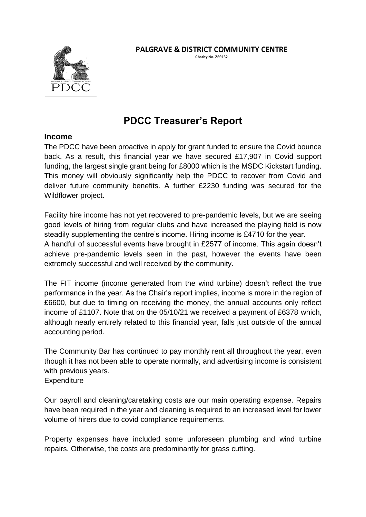

## **PALGRAVE & DISTRICT COMMUNITY CENTRE**

Charity No. 269132

## **PDCC Treasurer's Report**

## **Income**

The PDCC have been proactive in apply for grant funded to ensure the Covid bounce back. As a result, this financial year we have secured £17,907 in Covid support funding, the largest single grant being for £8000 which is the MSDC Kickstart funding. This money will obviously significantly help the PDCC to recover from Covid and deliver future community benefits. A further £2230 funding was secured for the Wildflower project.

Facility hire income has not yet recovered to pre-pandemic levels, but we are seeing good levels of hiring from regular clubs and have increased the playing field is now steadily supplementing the centre's income. Hiring income is £4710 for the year. A handful of successful events have brought in £2577 of income. This again doesn't achieve pre-pandemic levels seen in the past, however the events have been extremely successful and well received by the community.

The FIT income (income generated from the wind turbine) doesn't reflect the true performance in the year. As the Chair's report implies, income is more in the region of £6600, but due to timing on receiving the money, the annual accounts only reflect income of £1107. Note that on the 05/10/21 we received a payment of £6378 which, although nearly entirely related to this financial year, falls just outside of the annual accounting period.

The Community Bar has continued to pay monthly rent all throughout the year, even though it has not been able to operate normally, and advertising income is consistent with previous years.

**Expenditure** 

Our payroll and cleaning/caretaking costs are our main operating expense. Repairs have been required in the year and cleaning is required to an increased level for lower volume of hirers due to covid compliance requirements.

Property expenses have included some unforeseen plumbing and wind turbine repairs. Otherwise, the costs are predominantly for grass cutting.